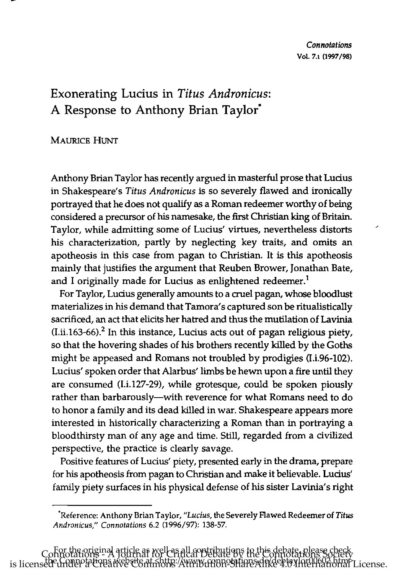## Exonerating Lucius in *Titus Andronicus:*  A Response to Anthony Brian Taylor·

## MAURICE HUNT

Anthony Brian Taylor has recently argued in masterful prose that Lucius in Shakespeare's *Titus Andronicus* is so severely flawed and ironically portrayed that he does not qualify as a Roman redeemer worthy of being considered a precursor of his namesake, the first Christian king of Britain. Taylor, while admitting some of Lucius' virtues, nevertheless distorts his characterization, partly by neglecting key traits, and omits an apotheosis in this case from pagan to Christian. It is this apotheosis mainly that justifies the argument that Reuben Brower, Jonathan Bate, and I originally made for Lucius as enlightened redeemer.<sup>1</sup>

For Taylor, Lucius generally amounts to a cruel pagan, whose bloodlust materializes in his demand that Tamora's captured son be ritualistically sacrificed, an act that elicits her hatred and thus the mutilation of Lavinia  $(I.ii.163-66).$ <sup>2</sup> In this instance, Lucius acts out of pagan religious piety, so that the hovering shades of his brothers recently killed by the Goths might be appeased and Romans not troubled by prodigies (I.i.96-102). Lucius' spoken order that Alarbus' limbs be hewn upon a fire until they are consumed (1.i.127-29), while grotesque, could be spoken piously rather than barbarously-with reverence for what Romans need to do to honor a family and its dead killed in war. Shakespeare appears more interested in historically characterizing a Roman than in portraying a bloodthirsty man of any age and time. Still, regarded from a civilized perspective, the practice is clearly savage.

Positive features of Lucius' piety, presented early in the drama, prepare for his apotheosis from pagan to Christian and make it believable. Lucius' family piety surfaces in his physical defense of his sister Lavinia's right

<sup>&#</sup>x27;Reference: Anthony Brian Taylor, *"Lucius,* the Severely Flawed Redeemer of *Titus Andronicus," Connotations* 6.2 (1996/97): 138-57.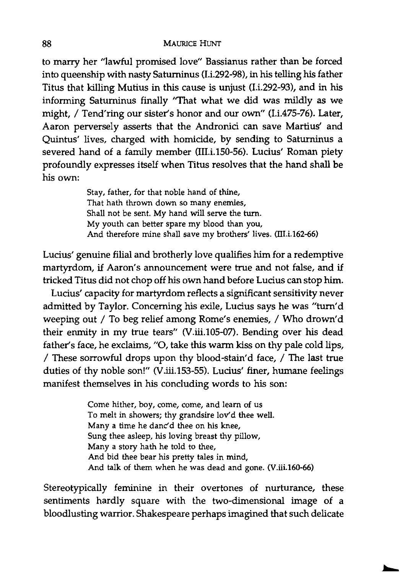to marry her "lawful promised love" Bassianus rather than be forced into queenship with nasty Saturninus (1.i.292-98), in his telling his father Titus that killing Mutius in this cause is unjust (I.i.292-93), and in his informing Saturninus finally "That what we did was mildly as we might, / Tend'ring our sister's honor and our own" (1.i.47S-76). Later, Aaron perversely asserts that the Andronici can save Martius' and Quintus' lives, charged with homicide, by sending to Satuminus a severed hand of a family member (III.i.150-56). Lucius' Roman piety profoundly expresses itself when Titus resolves that the hand shall be his own:

> Stay, father, for that noble hand of thine, That hath thrown down so many enemies, Shall not be sent. My hand will serve the turn. My youth can better spare my blood than you, And therefore mine shall save my brothers' lives. (III.i.162-66)

Lucius' genuine filial and brotherly love qualifies him for a redemptive martyrdom, if Aaron's announcement were true and not false, and if tricked Titus did not chop off his own hand before Lucius can stop him.

Lucius' capacity for martyrdom reflects a significant sensitivity never admitted by Taylor. Concerning his exile, Lucius says he was "tum'd weeping out / To beg relief among Rome's enemies, / Who drown'd their enmity in my true tears" (V.iii.105-07). Bending over his dead father's face, he exclaims, "0, take this warm kiss on thy pale cold lips, / These sorrowful drops upon thy blood-stain'd face, / The last true duties of thy noble son!" (V.iii.153-55). Lucius' finer, humane feelings manifest themselves in his concluding words to his son:

> Come hither, boy, come, come, and learn of us To melt in showers; thy grandsire lov'd thee well. Many a time he danc'd thee on his knee, Sung thee asleep, his loving breast thy pillow, Many a story hath he told to thee, And bid thee bear his pretty tales in mind, And talk of them when he was dead and gone. (V.iii.160-66)

Stereotypically feminine in their overtones of nurturance, these sentiments hardly square with the two-dimensional image of a bloodlusting warrior. Shakespeare perhaps imagined that such delicate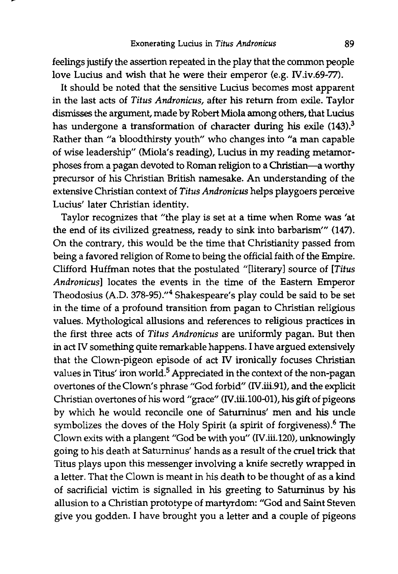feelings justify the assertion repeated in the play that the common people love Lucius and wish that he were their emperor (e.g. N.iv.69-77).

It should be noted that the sensitive Lucius becomes most apparent in the last acts of *Titus Andronicus,* after his return from exile. Taylor dismisses the argument, made by Robert Miola among others, that Lucius has undergone a transformation of character during his exile (143).<sup>3</sup> Rather than "a bloodthirsty youth" who changes into "a man capable of wise leadership" (Miola's reading), Lucius in my reading metamorphoses from a pagan devoted to Roman religion to a Christian-a worthy precursor of his Christian British namesake. An understanding of the extensive Christian context of *Titus Andronicus* helps playgoers perceive Lucius' later Christian identity.

Taylor recognizes that "the play is set at a time when Rome was 'at the end of its civilized greatness, ready to sink into barbarism'" (147). On the contrary, this would be the time that Christianity passed from being a favored religion of Rome to being the official faith of the Empire. Clifford Huffman notes that the postulated "[literary] source of *[Titus Andronicus]* locates the events in the time of the Eastern Emperor Theodosius (A.D. 378-95)."<sup>4</sup> Shakespeare's play could be said to be set in the time of a profound transition from pagan to Christian religious values. Mythological allusions and references to religious practices in the first three acts of *Titus Andronicus* are uniformly pagan. But then in act IV something quite remarkable happens. I have argued extensively that the Clown-pigeon episode of act IV ironically focuses Christian values in Titus' iron world.<sup>5</sup> Appreciated in the context of the non-pagan overtones of the Clown's phrase "God forbid" (N.iii.91), and the explicit Christian overtones of his word "grace" (IV.iii.100-01), his gift of pigeons by which he would reconcile one of Saturninus' men and his uncle symbolizes the doves of the Holy Spirit (a spirit of forgiveness).<sup>6</sup> The Clown exits with a plangent "God be with you" (IV.iii.120), unknowingly going to his death at Saturninus' hands as a result of the cruel trick that Titus plays upon this messenger involving a knife secretly wrapped in a letter. That the Clown is meant in his death to be thought of as a kind of sacrificial victim is signalled in his greeting to Saturninus by his allusion to a Christian prototype of martyrdom: "God and Saint Steven give you godden. I have brought you a letter and a couple of pigeons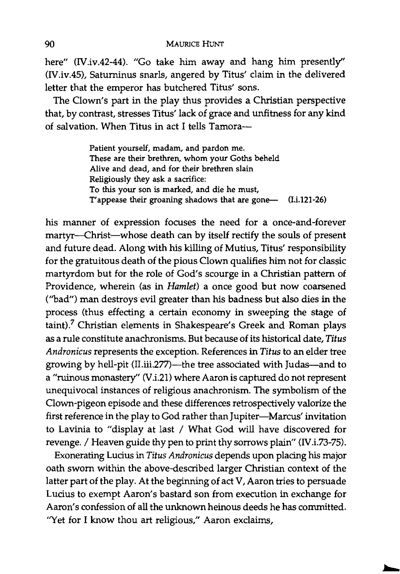here" (IV.iv.42-44). "Go take him away and hang him presently" (IV.iv.45), Saturninus snarls, angered by Titus' claim in the delivered letter that the emperor has butchered Titus' sons.

The Clown's part in the play thus provides a Christian perspective that, by contrast, stresses Titus' lack of grace and unfitness for any kind of salvation. When Titus in act I tells Tamora-

> Patient yourself, madam, and pardon me. These are their brethren, whom your Goths beheld Alive and dead, and for their brethren slain Religiously they ask a sacrifice: To this your son is marked, and die he must, T'appease their groaning shadows that are gone— (I.i.121-26)

his manner of expression focuses the need for a once-and-forever martyr-Christ-whose death can by itself rectify the souls of present and future dead. Along with his killing of Mutius, Titus' responsibility for the gratuitous death of the pious Clown qualifies him not for classic martyrdom but for the role of God's scourge in a Christian pattern of Providence, wherein (as in *Hamlet)* a once good but now coarsened (''bad'') man destroys evil greater than his badness but also dies in the process (thus effecting a certain economy in sweeping the stage of taint)? Christian elements in Shakespeare's Greek and Roman plays as a rule constitute anachronisms. But because of its historical date, *Titus Andronicus* represents the exception. References in *Titus* to an elder tree growing by hell-pit (II.iii.277)-the tree associated with Judas-and to a "ruinous monastery" (V.i.21) where Aaron is captured do not represent unequivocal instances of religious anachronism. The symbolism of the Clown-pigeon episode and these differences retrospectively valorize the first reference in the play to God rather than Jupiter-Marcus' invitation to Lavinia to "display at last / What God will have discovered for revenge. / Heaven guide thy pen to print thy sorrows plain" (IV.i.73-75).

Exonerating Ludus in *Titus Andronicus* depends upon placing his major oath sworn within the above-described larger Christian context of the latter part of the play. At the beginning of act V, Aaron tries to persuade Lucius to exempt Aaron's bastard son from execution in exchange for Aaron's confession of all the unknown heinous deeds he has committed. "Yet for I know thou art religious," Aaron exclaims,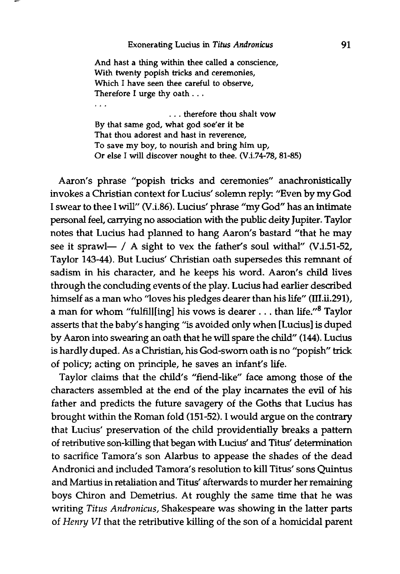## Exonerating Lucius in *Titus Andronicus*

And hast a thing within thee called a conscience, With twenty popish tricks and ceremonies, Which I have seen thee careful to observe, Therefore I urge thy oath ...

i vil

. . . therefore thou shalt vow By that same god, what god soe'er it be That thou adorest and hast in reverence, To save my boy, to nourish and bring him up, Or else I will discover nought to thee. (V.i.74-78, 81-85)

Aaron's phrase "popish tricks and ceremonies" anachronistically invokes a Christian context for Lucius' solemn reply: "Even by my God I swear to thee I will" (V.i.86). Lucius' phrase "my God" has an intimate personal feel, carrying no association with the public deity Jupiter. Taylor notes that Lucius had planned to hang Aaron's bastard "that he may see it sprawl- / A sight to vex the father's soul withal" (V.i.51-52, Taylor 143-44). But Lucius' Christian oath supersedes this remnant of sadism in his character, and he keeps his word. Aaron's child lives through the concluding events of the play. Lucius had earlier described himself as a man who "loves his pledges dearer than his life" (III.ii.291), a man for whom "fulfill[ing] his vows is dearer . . . than life."<sup>8</sup> Taylor asserts that the baby's hanging "is avoided only when [Lucius] is duped by Aaron into swearing an oath that he will spare the child" (144). Lucius is hardly duped. As a Christian, his God-sworn oath is no "popish" trick of policy; acting on principle, he saves an infant's life.

Taylor claims that the child's "fiend-like" face among those of the characters assembled at the end of the play incarnates the evil of his father and predicts the future savagery of the Goths that Lucius has brought within the Roman fold (151-52). I would argue on the contrary that Lucius' preservation of the child providentially breaks a pattern of retributive son-killing that began with Lucius' and Titus' determination to sacrifice Tamora's son Alarbus to appease the shades of the dead Andronici and included Tamora's resolution to kill Titus' sons Quintus and Martius in retaliation and Titus' afterwards to murder her remaining boys Chiron and Demetrius. At roughly the same time that he was writing *Titus Andronicus,* Shakespeare was showing in the latter parts of *Henry VI* that the retributive killing of the son of a homicidal parent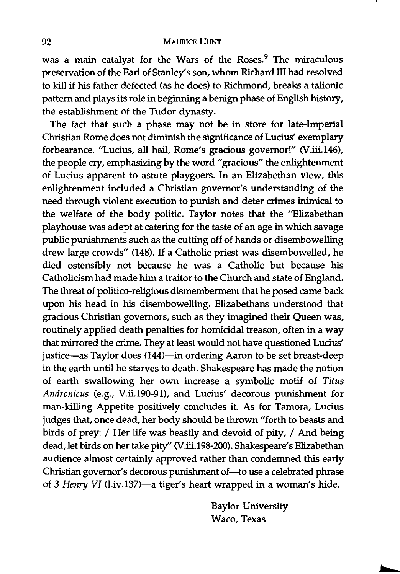was a main catalyst for the Wars of the Roses.<sup>9</sup> The miraculous preservation of the Earl of Stanley's son, whom Richard III had resolved to kill if his father defected (as he does) to Richmond, breaks a talionic pattern and plays its role in beginning a benign phase of English history, the establishment of the Tudor dynasty.

The fact that such a phase may not be in store for late-Imperial Christian Rome does not diminish the significance of Lucius' exemplary forbearance. "Lucius, all hail, Rome's gracious governor!" (V.iii.146), the people cry, emphasizing by the word "gracious" the enlightenment of Lucius apparent to astute playgoers. In an Elizabethan view, this enlightenment included a Christian governor's understanding of the need through violent execution to punish and deter crimes inimical to the welfare of the body politic. Taylor notes that the "Elizabethan playhouse was adept at catering for the taste of an age in which savage public punishments such as the cutting off of hands or disembowelling drew large crowds" (148). If a Catholic priest was disembowelled, he died ostensibly not because he was a Catholic but because his Catholicism had made him a traitor to the Church and state of England. The threat of politico-religious dismemberment that he posed came back upon his head in his disembowelling. Elizabethans understood that gracious Christian governors, such as they imagined their Queen was, routinely applied death penalties for homicidal treason, often in a way that mirrored the crime. They at least would not have questioned Lucius' justice-as Taylor does (144)-in ordering Aaron to be set breast-deep in the earth until he starves to death. Shakespeare has made the notion of earth swallowing her own increase a symbolic motif of *Titus Andronicus* (e.g., V.ii.190-91), and Lucius' decorous punishment for man-killing Appetite positively concludes it. As for Tamora, Lucius judges that, once dead, her body should be thrown "forth to beasts and birds of prey: / Her life was beastly and devoid of pity, / And being dead, let birds on her take pity" (V.iii.198-200). Shakespeare's Elizabethan audience almost certainly approved rather than condemned this early Christian governor's decorous punishment of-to use a celebrated phrase of 3 *Henry VI* (I.iv.137)-a tiger's heart wrapped in a woman's hide.

> Baylor University Waco, Texas